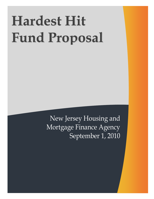# **Hardest Hit Fund Proposal**

New Jersey Housing and Mortgage Finance Agency September 1, 2010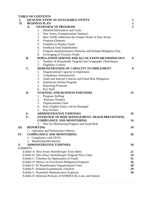|                                                   | <b>TABLE OF CONTENTS</b>                                       |                                          |                                                              |                |  |  |  |
|---------------------------------------------------|----------------------------------------------------------------|------------------------------------------|--------------------------------------------------------------|----------------|--|--|--|
| I.                                                | <b>QUALIFICATION AS AN ELIGIBLE ENTITY</b><br>$\boldsymbol{2}$ |                                          |                                                              |                |  |  |  |
| II.                                               |                                                                | $\boldsymbol{2}$<br><b>BUSINESS PLAN</b> |                                                              |                |  |  |  |
|                                                   | <b>OVERVIEW OF PROGRAM</b><br>A.                               |                                          |                                                              | $\overline{2}$ |  |  |  |
|                                                   |                                                                | 1.                                       | Detailed Information and Goals                               |                |  |  |  |
|                                                   |                                                                | 2.                                       | New Jersey Unemployment Statistics                           |                |  |  |  |
|                                                   |                                                                | 3.                                       | How NJHK Addresses the Unique Needs of New Jersey            |                |  |  |  |
|                                                   |                                                                | 4.                                       | <b>Program Elements</b>                                      |                |  |  |  |
|                                                   |                                                                | 5.                                       | Timeline to Deploy Funds                                     |                |  |  |  |
|                                                   |                                                                | 6.                                       | <b>Feedback from Stakeholders</b>                            |                |  |  |  |
|                                                   |                                                                | 7.                                       | Program Implementation Obstacles and Related Mitigation Plan |                |  |  |  |
|                                                   |                                                                | 8.                                       | Leveraging of Treasury Funds                                 |                |  |  |  |
|                                                   | <b>B.</b>                                                      |                                          | POPULATION SERVED AND ALLOCATION METHODOLOGY                 | 6              |  |  |  |
|                                                   |                                                                | 1.                                       | Number of Households Targeted and Geographic Distribution    |                |  |  |  |
|                                                   |                                                                | 2.                                       | Eligibility Criteria                                         |                |  |  |  |
|                                                   | $\mathbf{C}$ .                                                 |                                          | DEMONSTRATION OF CAPACITY TO IMPLEMENT                       | 8              |  |  |  |
|                                                   |                                                                | 1.                                       | Organizational Capacity to Implement                         |                |  |  |  |
|                                                   |                                                                | 2.                                       | Compliance Infrastructure                                    |                |  |  |  |
|                                                   |                                                                | 3.                                       | Audit and Internal Controls and Fraud Risk Mitigation        |                |  |  |  |
|                                                   |                                                                | 4.                                       | <b>Implement Similar Program</b>                             |                |  |  |  |
|                                                   |                                                                | 5.                                       | <b>Reporting Protocols</b>                                   |                |  |  |  |
|                                                   |                                                                | 6.                                       | <b>Key Staff</b>                                             |                |  |  |  |
|                                                   | D.                                                             |                                          | STAFFING AND BUSINESS PARTNERS                               | 13             |  |  |  |
|                                                   |                                                                | 1.                                       | <b>Program Staffing</b>                                      |                |  |  |  |
|                                                   |                                                                | 2.                                       | <b>Business Partners</b>                                     |                |  |  |  |
|                                                   |                                                                | 3.                                       | <b>Organizational Chart</b>                                  |                |  |  |  |
|                                                   |                                                                | 4.                                       | How Eligible Entity will be Managed                          |                |  |  |  |
|                                                   |                                                                | 5.                                       | <b>Key Partners</b>                                          |                |  |  |  |
|                                                   | E.                                                             |                                          | <b>ADMINISTRATIVE EXPENSES</b>                               | 16             |  |  |  |
|                                                   | F.                                                             |                                          | OVERVIEW OF RISK MANAGEMENT, FRAUD PREVENTION,               |                |  |  |  |
|                                                   |                                                                |                                          | <b>COMPLIANCE AND MONITORING</b>                             | 16             |  |  |  |
|                                                   |                                                                | 1.                                       | Plan for Minimizing Program and Fraud Risk                   |                |  |  |  |
| III.                                              | <b>REPORTING</b>                                               |                                          |                                                              | 19             |  |  |  |
|                                                   |                                                                |                                          | <b>Operation and Performance Metrics</b>                     |                |  |  |  |
| IV.                                               |                                                                | <b>COMPLIANCE AND MONITORING</b>         |                                                              | 20             |  |  |  |
|                                                   |                                                                |                                          | 1. Compliance with EESA                                      |                |  |  |  |
|                                                   |                                                                |                                          | 2. Monitoring Mechanism                                      |                |  |  |  |
| V.                                                |                                                                |                                          | <b>ADMINISTRATIVE EXPENSES</b>                               | 20             |  |  |  |
|                                                   | <b>EXHIBITS:</b>                                               |                                          |                                                              |                |  |  |  |
|                                                   |                                                                |                                          | Exhibit A: New Jersey HomeKeeper Term Sheet                  | 21             |  |  |  |
|                                                   | Exhibit B: New Jersey HomeKeeper Program Flow Chart<br>24      |                                          |                                                              |                |  |  |  |
| 25<br>Exhibit C: Timeline for Deployment of Funds |                                                                |                                          |                                                              |                |  |  |  |
|                                                   | 26<br>Exhibit D: Metrics in Foreclosure Mitigation Programs    |                                          |                                                              |                |  |  |  |
|                                                   | 28<br>Exhibit E: NJ HomeKeeper Organizational Chart            |                                          |                                                              |                |  |  |  |
|                                                   | 29<br>Exhibit F: Detailed Expenditures Timeline                |                                          |                                                              |                |  |  |  |
|                                                   | 30<br>Exhibit G: Permitted Administrative Expenses             |                                          |                                                              |                |  |  |  |
|                                                   | Exhibit H: Relevant Portions of NJHMFA By-Laws and Statute     |                                          |                                                              |                |  |  |  |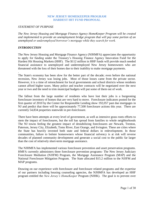## **NEW JERSEY HOMEKEEPER PROGRAM HARDEST HIT FUND PROPOSAL**

#### *STATEMENT OF PURPOSE*

*The New Jersey Housing and Mortgage Finance Agency HomeKeeper Program will be created and implemented to provide an unemployment bridge program that will pay some portion of an unemployed or underemployed borrower's mortgage while they search for work.*

#### *INTRODUCTION*

.

The New Jersey Housing and Mortgage Finance Agency (NJHMFA) appreciates the opportunity to apply for funding under the Treasury's Housing Finance Agency Innovation Fund for the Hardest Hit Housing Markets (HHF). The \$112 million in HHF funds will provide much needed financial assistance to unemployed and underemployed New Jersey homeowners who are threatened with the loss of their homes due to their inability to make mortgage payments.

The State's economy has been slow for the better part of the decade; even before the national recession, New Jersey was losing jobs. Most of those losses came from the private sector. However, it is a time of retrenchment for local governments and school districts whose residents cannot afford higher taxes. Many police and teacher contracts will be negotiated over the next year or two and the need to trim municipal budgets will put some of them out of work.

The fallout from the large number of residents who have lost their jobs is a burgeoning foreclosure inventory of homes that are very hard to move. Foreclosure indicators posted for the first quarter of 2010 by the Center for Responsible Lending show 192,057 past due mortgages in NJ and predict that there will be approximately 77,500 foreclosure actions this year. There are currently 54,834 properties statewide in pre-foreclosure.

There have been attempts at every level of government, as well as intensive grass roots efforts to stem the impact of foreclosures, but the toll has spread from families to whole neighborhoods The NJ towns feeling the greatest impact of destabilizing foreclosures are Newark, Trenton, Paterson, Jersey City, Elizabeth, Toms River, East Orange, and Irvington. These are cities where the State has heavily invested both state and federal dollars in redevelopment. In those communities, failure to bolster homeowners whose financial solvency is at risk will reverse decades of planned community development and generate a social cost to the public far larger than the cost of relatively short-term mortgage assistance.

The NJHMFA has implemented various foreclosure prevention and asset preservation programs. HMFA currently administers three foreclosure prevention programs- The New Jersey Judiciary Foreclosure Mediation (NJJFM) Program, the Mortgage Assistance Program (MAP) and the National Foreclosure Mitigation Program. The State allocated \$15.2 million to the NJJFM and MAP programs.

Drawing on our experience with foreclosure and foreclosure related programs and the expertise of our partners including housing counseling agencies, the NJHMFA has developed an HHF program entitled the *New Jersey's HomeKeeper* Program (NJHK). The goal is to prevent over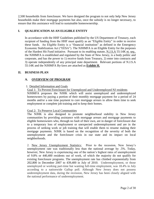2,500 households from foreclosure. We have designed the program to not only help New Jersey households make their mortgage payments but also, once the subsidy is no longer necessary, to ensure that this assistance will lead to sustainable homeownership.

# **I. QUALIFICATION AS AN ELIGIBLE ENTITY**

In accordance with the HHF Guidelines published by the US Department of Treasury, each recipient of funding from the HHF must qualify as an "Eligible Entity" in order to receive these funds. An Eligible Entity is a "financial institution" as defined in the Emergency Economic Stabilization Act ("EESA"). The NJHMFA is an Eligible Entity for the purposes of the Hardest Hit Fund initiative. Pursuant to its enabling statute, N.J.S.A 55:14K et. seq., the NJHMFA is established and regulated by the State of New Jersey, is a body politic and corporate, and has the power to 1) receive funds from Treasury, 2) enter into contracts and 3) operate independently of any principal state department. Relevant portions of N.J.S.A 55:14K and the NJHMFA By-laws are attached as **Exhibit H.**

# **II. BUSINESS PLAN**

# **A. OVERVIEW OF PROGRAM**

# 1. Detailed Information and Goals

Goal 1: To Prevent Foreclosure for Unemployed and Underemployed NJ residents NJHMFA proposes the NJHK which will assist unemployed and underemployed homeowners by paying a portion of their monthly mortgage payment for a period of 24 months and/or a one time payment to cure mortgage arrears to allow them time to seek employment or complete job training and to keep their homes.

# Goal 2: To Preserve Local Communities

The NJHK is also designed to promote neighborhood stability in New Jersey communities by providing assistance with mortgage arrears and mortgage payments to eligible homeowners who, through no fault of their own, are in danger of foreclosure due to a temporary loss of employment or unexpected underemployment and are in the process of seeking work or job training that will enable them to resume making their mortgage payments. NJHK is based on the recognition of the severity of both the unemployment and the foreclosure crisis in our state and its impact on local neighborhoods.

2. New Jersey Unemployment Statistics: Prior to the recession, New Jersey's unemployment rate was traditionally less than the national average by .5%. Today, however, New Jersey is experiencing one of the nation's highest rates of unemployment of 9.8% or 440,400 residents out of work, of which the majority do not qualify for existing foreclosure programs. The unemployment rate has climbed exponentially from 202,800 in December 2007 to 439,400 in July of 2010. Underemployment, or those unemployed or working part-time but wanting full-time employment, was 18.4% in July according to a nationwide Gallup poll. Although New Jersey does not possess underemployment data, during the recession, New Jersey has been closely aligned with the national performance of underemployment.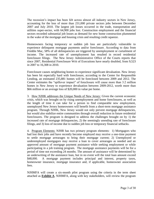The recession's impact has been felt across almost all industry sectors in New Jersey, accounting for the loss of more than 231,000 private sectors jobs between December 2007 and July 2010. The largest job losses occurred in the trade, transportation and utilities super-sector, with 64,900 jobs lost. Construction employment and the financial sectors recorded substantial job losses as demand for new home construction plummeted in the wake of the mortgage and housing crisis and resulting credit squeeze.

Homeowners facing temporary or sudden job loss are particularly vulnerable to experience delinquent mortgage payments and/or foreclosure. According to data from Freddie Mac, 58% of all delinquencies are triggered by unemployment or curtailment of income. The increased rate of unemployment has resulted in record residential foreclosure filings. The New Jersey Administrative Office of the Courts reports that since 2007, Residential Foreclosure Writ of Executions have nearly doubled, from 9,523 in 2007 to 16,308 in 2010.

Foreclosure causes neighboring homes to experience significant devaluation. New Jersey has been hit especially hard with foreclosure, according to the Center for Responsible Lending, an estimated 235,881 homes will be foreclosed between 2009 and 2012. The Center estimates the "spillover impact" of foreclosure will cause more than 3.2 million homes in New Jersey to experience devaluation between 2009-2012, worth more than \$66 million or an average loss of \$20,000 in value per home.

3. How NJHK addresses the Unique Needs of New Jersey: Given the current economic crisis, which was brought on by rising unemployment and home foreclosures, as well as the length of time it can take for a person to find comparable new employment, unemployed New Jersey homeowners will benefit from a short-term mortgage assistance program. Through NJHK, New Jersey would not only prevent mortgage delinquencies, but would also stabilize entire communities through overall reduction in future residential foreclosures. The program is designed to address the challenges brought on by 1) the increased rate of mortgage delinquencies, 2) the seemingly unending rate of foreclosure filings, and 3) loss of income due to sudden job loss or temporary financial setbacks.

4. Program Elements: NJHR has two primary program elements: 1) Mortgagors who had lost their jobs and have recently become employed may receive a one-time payment to settle mortgage arrearages to bring their mortgage current; 2) Unemployed or underemployed mortgagors may receive a loan to cover arrearages as needed and an approved amount of mortgage payment assistance while seeking employment or while participating in a job training program. The mortgage assistance payments will be for a period of time not exceeding 24 months. The amount of assistance will be determined by an underwriting of the assistance loan, but in no event will the total loan amount exceed \$48,000. A mortgage payment includes principal and interest, property taxes, homeowner insurance, mortgage insurance and, if applicable, homeowner association fees.

NJHMFA will create a six-month pilot program using the criteria in the term sheet attached as **Exhibit A**. NJHMFA, along with key stakeholders, will review the program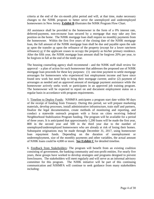criteria at the end of the six-month pilot period and will, at that time, make necessary changes to the NJHK program to better serve the unemployed and underemployed homeowners in New Jersey. **Exhibit B** illustrates the NJHK Program Flow Chart.

All assistance shall be provided to the homeowner in the form of a 0% interest rate, deferred-payment, non-recourse loan secured by a mortgage that may take any lien position on the home. The NJHK mortgage loan shall require no monthly payments from the homeowner. Within the first five years of the closing date of the NJHK mortgage loan, the full amount of the NJHK mortgage loan shall be due and payable upon the sale or upon the transfer or upon the refinance of the property (except for a lower rate/term refinance) or if the applicant ceases to occupy the property as his/her primary residence. After the fifth year, the NJHK mortgage loan amount shall be forgiven 20% per year, to be forgiven in full at the end of the tenth year.

The housing counseling agency shall recommend - and the NJHK staff shall review for approval – a plan of action for each homeowner that addresses the proposed use of NJHK mortgage loan proceeds for these key purposes: (1) one-time payment to settle mortgage arrearages for homeowners who experienced lost employment income and have since found new work but need help to bring their mortgage current; and/or (2) payment of arrearages as needed and an approved amount of mortgage payment assistance while the homeowner actively seeks work or participates in an approved job training program. The homeowner will be expected to report on and document employment status on a regular basis in accordance with program requirements.

5. Timeline to Deploy Funds: NJHMFA anticipates a program start date within 90 days of the receipt of funding from Treasury. During this period, we will prepare marketing materials, develop processes, install administrative infrastructure, train staff and partners, finalize the legal documentation, create methods of monitoring and reporting, and conduct a statewide outreach program with a focus on cities receiving federal Neighborhood Stabilization Program funding. The program will be available for a period of three years. It is anticipated that approximately 1,200 loans will be made the first year, 800 in the second year and 500 in the third year due to the number of unemployed/underemployed homeowners who are already at risk of losing their homes. Subsequent originations may be made through December 31, 2017, using homeowner loan repayment funds. Depending on the duration of unemployment or underemployment, size of the monthly payments and other variables, the actual amount of NJHK loans could be 4,000 or more. **See Exhibit C** for detailed timeline.

6. Feedback from Stakeholders: The program will benefit from an existing coalition consisting of government, the banking community and non-profit entities. For nearly five years, these groups have worked to develop strategies and programs designed to prevent foreclosures. The stakeholders will meet regularly and will serve as an informal advisory committee for this program. The NJHK initiative will be part of this continuing communication and NJHMFA will continue to seek guidance from many stakeholders including: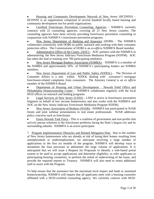Housing and Community Development Network of New Jersey (HCDNNJ) – HCDNNJ is an organization comprised of several hundred locally based housing and community development not-for-profit organizations.

Certified Foreclosure Prevention Counseling Agencies - NJHMFA currently contracts with 22 counseling agencies, covering all 21 New Jersey counties. The counseling agencies have been actively providing foreclosure prevention counseling in conjunction with NJHMFA's foreclosure prevention programs.

New Jersey Department of Banking and Insurance (DOBI) - The NJHMFA collaborates extensively with DOBI on public outreach and working with their consumer protection office. The Commissioner of DOBI is an *ex-officio* NJHMFA Board member.

Administrative Office of the Courts (AOC) **-** AOC partners with the NJHMFA in administering the New Jersey Judiciary Foreclosure Mediation Program (NJJFM). AOC has taken the lead in training over 700 participating mediators.

New Jersey Mortgage Bankers Association (NJMBA) - NJHMFA is a member of the NJMBA and approximately 50% of NJHMFA's participating lenders are NJMBA members.

New Jersey Department of Law and Public Safety (NJDOL) - The Division of  $\bullet$ Consumer Affairs is a unit within NJDOL dealing with consumer's mortgage foreclosure-related complaints from consumers. The Attorney General is an *ex officio* member of the NJHMFA Board.

Department of Housing and Urban Development – Newark Field Office and Philadelphia Homeownership Center - NJHMFA collaborates regularly with the local HUD offices on outreach and lending programs.

Legal Services of New Jersey (LSNJ) **–** LSNJ is active in foreclosure prevention litigation on behalf of low income homeowners and also works with the NJHMFA and AOC on the New Jersey Judiciary Foreclosure Mediation Program NJJFM).

New Jersey Association of Realtors (NJAR) - NJHMFA has participated in NJAR forum and joint webinar presentations to real estate professionals. NJAR addresses policy concerns such as foreclosure.

Essex-Newark Task Force - This is a coalition of government and non-profits that actively pursue solutions to the foreclosure problems facing the State's largest city and its surrounding suburbs. NJHMFA is an active participant.

7. Program Implementation Obstacles and Related Mitigation Plan*:* Due to the number of New Jersey homeowners who are already at risk of losing their homes resulting from unemployment or underemployment, we anticipate receiving a large number of applications in the first six months of the program. NJHMFA will develop ways to streamline the loan processes to administer the large volume of applications. It is anticipated that we will issue a Request for Proposals to identify a web-based portal system to be used to accept applications and determine eligibility, to refer applicants to participating housing counselors, to perform the initial of underwriting of the loans, and provide the required reports to Treasury. NJHMFA will also need to retain additional staff to assist with the Program.

To help ensure that the assistance has the maximum local impact and leads to sustained homeownership, NJHMFA will require that all applicants meet with a housing counselor affiliated with a HUD-certified counseling agency. We currently contract with HUD-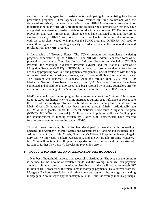certified counseling agencies to assist clients participating in our existing foreclosure prevention programs. These agencies have retained full-time counselors who are dedicated exclusively to clients participating in the NJHMFA foreclosure programs. Prior to participating in any NJHMFA program, the counselor must demonstrate that they have completed the extensive five-day Neighbor Works America course- HO345- Foreclosure Prevention and Asset Preservation. These agencies have indicated to us that they are at caseload capacity. HMFA will issue a Request for Qualifications in order to contract with the counselors needed to implement the NJHK program. NJHMFA will need to assist these agencies in building capacity in order to handle the increased caseload resulting from the NJHK program.

8. Leveraging of Treasury Funds: The NJHK program will complement existing programs administered by the NJHMFA. The NJHMFA administers three foreclosure prevention programs - The New Jersey Judiciary Foreclosure Mediation (NJJFM) Program, the Mortgage Assistance Program (MAP), and the National Foreclosure Mitigation Program (NFMC). NJJFM is designed to resolve residential foreclosure actions by proposing work-out and payment arrangements, or exit strategies with the help of neutral mediators, housing counselors, and if income eligible, free legal assistance. The Program was launched in January, 2009 and through June, 2010 over 9,400 Mediation Sessions have been scheduled, over 5,000 Mediation Sessions have been completed and an additional 500 cases have been resolved by housing counselors prior to mediation. State funding of \$12.5 million has been allocated to the NJJFM program.

MAP is a homeless prevention program for homeowners providing "catch-up" funding of up to \$20,000 per homeowner to bring mortgages current or to refinance or renegotiate the terms of their mortgage. To date, \$2.6 million in State funding has been allocated to MAP. Over 100 households have been assisted through MAP. Additionally, the NJHMFA is a grantee under the federal National Foreclosure Mitigation Program (NFMC). NJHMFA has received \$1.7 million and will apply for additional funding upon the announcement of funding availability. Over 3,000 homeowners have received foreclosure prevention counseling under NFMC.

Through these programs, NJHMFA has developed partnerships with counseling agencies, the Attorney General's Office, the Department of Banking and Insurance, the Administrative Office of the Courts, New Jersey's Office of Dispute Settlement, Legal Services, NJ Mortgage Bankers Association, and the Affordable Housing Network. NJHMFA will continue to call upon the expertise of these entities and the expertise of its staff to further New Jersey's foreclosure prevention efforts.

# **B. POPULATION SERVED AND ALLOCATION METHODOLOGY**

1. Number of households targeted and geographic distribution**:** The scope of the program is defined by the amount of available funds and the average monthly loan payment amount. It is anticipated that, net of administrative costs, there will be approximately \$97 million of HHF proceeds with which to make mortgage payments. Data derived from the Mortgage Bankers Association and private lenders suggests the average outstanding mortgage in New Jersey is approximately \$250,000. Thus, the average monthly principal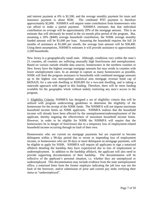and interest payment at 6% is \$1,500, and the average monthly payment for taxes and insurance payment is about \$500. The combined PITI payment is therefore approximately \$2,000. NJHMFA will require some contribution from homeowners who can afford to make a partial payment. NJHMFA estimates that that individual contribution on average will be approximately 20% of the mortgage amount. This is an estimate that will obviously be tested in the six-month pilot period of the program. But, assuming a 20% (\$400) average household contribution, the NJHK average monthly funded amount will be \$1,600 per loan. Assuming the household requires the full 24 months of assistance at \$1,600 per month, the average loan amount will be \$38,400. Using these assumptions, NJHMFA estimates it will provide assistance to approximately 2,500 households.

New Jersey is a geographically small state. Although, conditions vary within the state's 21 counties, all counties are suffering unusually high foreclosures and unemployment. Based on various outside reliable data sources, homeowners in the northern counties in New Jersey have the highest average mortgage amounts but may reside in counties with lower unemployment rates. In an attempt to capture as many homeowners as possible, NJHK will limit the program assistance to households with combined mortgage amounts up to the highest cost metropolitan statistical area mortgage revenue bond cap of \$429,619, for a one-unit dwelling or \$550,005 for a two-unit dwelling, and is taking a statewide approach with regard to this funding. Therefore, there will be more funding available for the geographic whole without unduly restricting any area's access to the program.

2. Eligibility Criteria: NJHMFA has designed a set of eligibility criteria that will be utilized with program underwriting guidelines to determine the eligibility of the homeowner for the receipt of the NJHK funds. The NJHMFA will not impose maximum household income limits on NJHK applicants. NJHMFA realizes that the household income will already have been affected by the unemployment/underemployment of the applicant, thereby negating the effectiveness of maximum household income limits. However, in order to be eligible for NJHK the NJHMFA will require that the homeowners be in danger of foreclosure due to a temporary loss of employment-related household income occurring through no fault of their own.

Homeowners who are current on mortgage payments but are expected to become delinquent within a 90-day period due to recent or impending loss of employment income, or homeowners who are 30 days or more delinquent on mortgage payments, will be eligible to apply for NJHK. NJHMFA will require all applicants to sign a notarized affidavit detailing the hardship they have experienced due to loss of employment or underemployment. In addition to the hardship affidavit, the applicant will also need to provide supporting documentation of their hardship. The documentation will be reflective of the applicant's personal situation, i.e. whether they are unemployed or underemployed. This documentation may include evidence from the state unemployment office, a notarized letter from the former employer indicating the job loss was not the fault of the borrower, and/or submission of prior and current pay stubs verifying their status as "underemployed".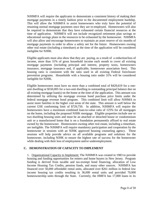NJHMFA will require the applicants to demonstrate a consistent history of making their mortgage payments in a timely fashion prior to the documented employment hardship. This will allow the NJHMFA to assist homeowners who truly have the potential of resuming normal mortgage payments once they are re-employed. Homeowners will also be required to demonstrate that they have exhausted certain financial resources at the time of application. NJHMFA will not include recognized retirement plan savings or educational savings plans in the resources to be exhausted by the homeowner. NJHMFA will also allow and encourage homeowners to maintain an asset reserve of six months of mortgage payments in order to allow a safety net for the future. Homeowners owning other real estate (including a timeshare) at the time of the application will be considered ineligible for NJHK.

Eligible applicants must also show that they are paying, as a result of a reduction/loss of income, more than 31% of gross household income each month to cover all existing mortgage payments (including principal and interest, property taxes, homeowners insurance, mortgage insurance and, if applicable, homeowner association fees). This housing ratio is consistent with the ratio used in all existing Federal foreclosure prevention programs. Households with a housing ratio under 31% will be considered ineligible for NJHK.

Eligible homeowners must have no more than a combined total of \$429,619 for a oneunit dwelling or \$550,005 for a two-unit dwelling in outstanding principal balance due on all existing mortgage loan(s) on the home at the time of the application. This amount was determined by utilizing the mortgage revenue bond purchase price limits under the federal mortgage revenue bond program. This combined limit will allow NJHMA to assist more families in the higher cost areas of the state. This amount is well below the current GSE conforming limit of \$729,750. In addition, NJHMFA will require the homeowners have a maximum combined loan-to-value ratio of 125% for all mortgages on the home, including the proposed NJHK mortgage. Eligible properties include one or two dwelling housing units and must be an attached or detached house or condominium unit or a manufactured home that is on a foundation permanently affixed to real estate owned by the homeowner. Homeowners owning other real estate, including a timeshare, are ineligible. The NJHMFA will require mandatory participation and cooperation by the homeowner in sessions with an NJHK approved housing counseling agency. These sessions will help provide advice on all available programs and solutions for the homeowner, including NJHK to ensure the highest rate of success for the homeowner while dealing with their loss of employment and/or underemployment.

# **C. DEMONSTRATION OF CAPACITY TO IMPLEMENT**

1. Organizational Capacity to Implement: The NJHMFA was created in 1983 to provide housing and funding opportunities for renters and home buyers in New Jersey. Program funding is derived from taxable and tax-exempt bond financing, allocation of Low Income Housing Tax Credits, pension funds, and many other sources. NJHMFA has financed over 50,000 affordable rental units, allocated over \$261 million in federal low income housing tax credits resulting in 36,000 rental units and provided 70,000 homeownership units through the State. Currently, the HMFA has 17,000 loans in its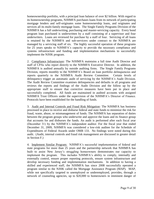homeownership portfolio, with a principal loan balance of over \$2 billion. With regard to its homeownership programs, NJHMFA purchases loans from its network of participating mortgage lenders and self-originates some homeownership loans, and originates and services all its multi-family mortgage loans. The Single Family Programs Division of the NJHMFA has a full underwriting, purchasing and master-servicing capacity. Every bond program loan purchased is underwritten by a staff consisting of a supervisor and four underwriters. Loans are reviewed for purchase by a staff of four. Servicing of all loans is retained by the NJHMFA and sub-servicers under contract to the NJHMFA are managed by a servicing staff of six. The highly successful operation of these programs for 25 years speaks to NJHMFA's capacity to provide the necessary compliance and systems infrastructure and funding and implementation mechanisms to successfully implement the NJHK program.

2. Compliance Infrastructure: The NJHMFA maintains a full time Audit Director and staff of CPAs who report directly to the NJHMFA Executive Director. In addition, the NJHMFA is audited annually by outside auditing firms. The Single Family Programs Division, reports monthly to the NJHMFA's Board on loan portfolio delinquencies and reports quarterly to the NJHMFA Audit Review Committee. Certain levels of delinquency trigger an automatic audit of servicing by the NJHMFA's Audit Division. The Audit Review Committee examines delinquencies and defaults in all programs and reviews the reports and findings of the Audit Division and the follow up by the appropriate staff to ensure that corrective measures have been put in place and successfully completed. All funds are maintained in audited accounts with assigned NJHMFA Trust Officers under the supervision of the NJHMFA's Director of Finance. Protocols have been established for the handling of funds.

3. Audit and Internal Controls and Fraud Risk Mitigation: The NJHMFA has business processed in place to receive and disburse federal and state funds to minimize the risk for fraud, waste, abuse, or mismanagement of funds. The NJHMFA has separation of duties between the program groups who underwrite and approve the loans and its finance group that accounts for and disburses the funds. An audit is performed after each fiscal year (December 31) by the NJHMFA's independent auditor. For the fiscal year that ended December 31, 2009, NJHMFA was considered a low-risk auditee for the Schedule of Expenditures of Federal Awards under OMB 133. No findings were noted during this audit. (Audit, internal controls and fraud risk management are discussed in greater detail in Section F.)

4. Implement Similar Program: NJHMFA's successful implementation of federal and state programs for more than 25 years and the partnership network that NJHMFA has built to assist New Jersey's struggling homeowners demonstrates our capacity to implement the program. This includes NJHMFA's ability to comply, internally and externally control, ensure proper reporting protocols, ensure system infrastructure and develop necessary funding and implementation mechanisms. In addition to having a skilled and experienced staff, the NJHMFA has since 2008 successfully operated a program similar to the NJHK called the Mortgage Assistance Program (MAP). MAP, while not specifically targeted to unemployed or underemployed, provides, through a network of counseling agencies, up to \$20,000 to homeowners in imminent danger of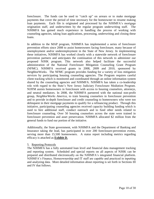foreclosure. The funds can be used to "catch up" on arrears or to make mortgage payments that cover the period of time necessary for the homeowner to resume making loan payments. Each file is originated and processed by the NJHMFA's mortgage origination staff, and underwritten by the regular program underwriting staff. The NJHMFA has gained much experience in handling the process of working with counseling agencies, taking loan applications, processing, underwriting and closing these loans.

In addition to the MAP program, NJHMFA has implemented a series of foreclosure prevention efforts since 2008 to assist homeowners facing foreclosure, many because of unemployment and/or underemployment in the State of New Jersey. In implementing these initiatives, NJHMFA has worked closely with a statewide network of foreclosure prevention partners and anticipates the continuation of this network to administer our proposed NJHK program. This network also helped facilitate the successful administration of the National Foreclosure Mitigation Counseling Grant Program (NFMC). NJHMFA received grants in 2008, 2009 and 2010, sponsored by NeighborWorks. The NFMC program provides funding for a variety of loss mitigation services by participating housing counseling agencies. The Program requires careful client tracking which is monitored and coordinated through an online information system shared by the counseling agencies and NJHMFA. NJHMFA has taken a co-leadership role with regard to the State's New Jersey Judiciary Foreclosure Mediation Program. NJJFM assists homeowners in foreclosure with access to housing counselors, attorneys, and neutral mediators. In 2008, the NJHMFA partnered with the national non-profit group, *NeighborWorks America*, to train housing counselors in foreclosure prevention and to provide in-depth foreclosure and credit counseling to homeowners who were too delinquent in their mortgage payments to qualify for a refinancing product. Through this initiative, participating counseling agencies received capacity building funding which is used to hire additional staff, conduct outreach and to fund other needs related to foreclosure counseling. Over 50 housing counselors across the state were trained in foreclosure prevention and asset preservation. NJHMFA allocated \$2 million from the general funds to fund our portion of the initiative.

Additionally, the State government, with NJHMFA and the Department of Banking and Insurance taking the lead, has participated in over 200 foreclosure-prevention events, serving more than 15,500 homeowners. A status report including metrics regarding efficacy is attached as **Exhibit D.**

## 5. Reporting Protocols

The NJHMFA has a fully automated loan level and financial data management tracking and reporting system. Scheduled and special reports on all aspects of NJHK can be prepared and distributed electronically on the NJHMFA's integrated financial platform. NJHMFA's Finance, Homeownership and IT staff are capable and practiced in inputting and analyzing data. More detailed information about reporting is set forth in Sections III and IV that follows.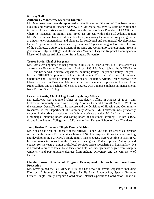## 6. Key Staff:

## **Anthony L. Marchetta, Executive Director**

Mr. Marchetta was recently appointed as the Executive Director of The New Jersey Housing and Mortgage Finance Agency. Mr. Marchetta has over 35 years of experience in the public and private sector. Most recently, he was Vice President of LCOR Inc., where he managed multifamily and mixed use projects within the Mid-Atlantic region Mr. Marchetta has also worked as a developer, managing teams of attorneys, engineers, architects, environmentalists, and planners for residential and commercial developments. He has 13 years of public sector service, including 10 years serving as Executive Director of the Middlesex County Department of Housing and Community Development. He is a graduate of Rutgers College, and also holds a Master of City and Regional Planning and a Master of Business Administration from Rutgers University.

## **Tracee Battis, Chief of Programs**

Ms. Battis was appointed to her position in July 2002. Prior to that, Ms. Battis served as an Assistant Executive Director from April of 1993. Ms. Battis joined the NJHMFA in 1976 and has served in several capacities, including Policy Analyst and Policy Analyst II in the NJHMFA's previous Policy Development Division, Manager of Internal Operations and Director of Internal Operations & Regulatory Affairs. Tracee received her Master's degree in Business Administration, with a major emphasis in finance, from Rider College and a Bachelor of Science degree, with a major emphasis in management, from Trenton State College.

## **Leslie Lefkowitz, Chief of Legal and Regulatory Affairs**

Mr. Lefkowitz was appointed Chief of Regulatory Affairs in August of 2005. Mr. Lefkowitz previously served as a Deputy Attorney General from 2002-2005. While in the Attorney General's office, he represented the Divisions of Housing and Community Resources in the Department of Community Affairs. Mr. Lefkowitz was previously engaged in the private practice of law. While in private practice, Mr. Lefkowitz served as a municipal, planning board and zoning board of adjustment attorney. He has a B.A. degree from Rutgers College and a J.D. degree from Rutgers School of Law (Camden).

## **Jerry Keelen, Director of Single Family Division**

Mr. Keelen has been on the staff of the NJHMFA since l986 and has served as Director of the Single Family Division since March, l997. His responsibilities include directing and developing the NJHMFA's single family loan products. Before coming to NJHMFA, he was associate counsel to the Newark Housing and Redevelopment Authority and counsel for six years at a non-profit legal services office specializing in housing law. He is licensed to practice law in New Jersey and holds an undergraduate degree from Rutgers University and post-graduate degrees from Indiana University and the University of Detroit.

# **Claudia Lovas, Director of Program Development, Outreach and Foreclosure Prevention**

Ms. Lovas joined the NJHMFA in 1986 and has served in several capacities including Director of Strategic Planning, Single Family Loan Underwriter, Special Program Officer, Single Family Program Coordinator, Internal Operations Coordinator, Financial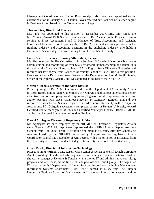Management Coordinator and Senior Bond Analyst. Ms. Lovas was appointed to her current position in January 2001. Claudia Lovas received her Bachelor of Science degree in Business Administration from Trenton State College.

#### **Theresa Fink, Director of Finance**

Ms. Fink was appointed to this position in December 2007. Mrs. Fink joined the NJHMFA in August 1988. She has spent her entire HMFA career in the Finance Division serving as Trust Accountant I and II, Manager of Trust Accounting, and Assistant Director of Finance. Prior to joining the NJHMFA, she held auditing positions in the Banking industry and Accounting positions in the publishing industry. She holds a Bachelor of Science degree in Accounting from St. Joseph's University.

#### **Laura Shea , Director of Housing Affordability Service**

Ms. Shea oversees the Housing Affordability Service (HAS), which is responsible for the administration and monitoring of over 6,000 affordable homeownership and rental units throughout the State. Ms. Shea obtained a BA in English from Villanova University and received her law degree from Widener University School of Law. Prior to this position, Laura served as a Deputy Attorney General at the Department of Law & Public Safety, Office of the Attorney General, and was assigned as counsel to the NJHMFA.

#### **George Guirguis, Director of the Audit Division**

Prior to joining NJHMFA, Mr. Guirguis worked at the Department of Community Affairs in 1991. Before joining State Government, Mr. Guirguis held various international senior executive positions in Sperry Rand Corporation, Ingersoll Rand Corporation and a senior auditor position with Price Waterhouse/Newark & Company, London, England. He received a Bachelor of Science degree from Alexandria University with a major in Accounting. Mr. Guirguis successfully completed courses at Rutgers University toward Certified Public Management (CPM) and Certified Municipal Finance Officer (CMFO), and he is a chartered Accountant in London, England.

## **Darryl Applegate, Director of Regulatory Affairs**

Mr. Applegate has been employed by the NJHMFA as Director of Regulatory Affairs since October 2005. Mr. Applegate represented the NJHMFA as a Deputy Attorney General from 1993-2005. From 1989 until being hired as a Deputy Attorney General, he was employed by the NJHMFA as a Policy Analyst and a Regulatory Affairs Coordinator. Darryl has a Bachelor of Arts degree, with a major in political science, from the University of Delaware, and a J.D. degree from Rutgers School of Law (Camden).

#### **Grace Roselli, Director of Information Technology**

Prior to joining NJHMFA, Ms. Roselli was a senior associate at Merrill Lynch Corporate Audit, providing IT audit and advisory services on strategic financial systems. Earlier, she was a manager at Deloitte  $&$  Touche, where she led IT and administrative consulting projects, and later managed the firm's Philadelphia office IT audit group. She began her IT career at the NJ Department of Human Services, in positions including Management Information Systems Coordinator. Ms. Roselli earned an MBA from The Rutgers University Graduate School of Management in finance and information systems, and an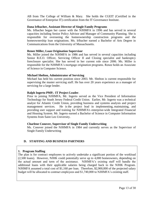AB from The College of William & Mary. She holds the CGEIT (Certified in the Governance of Enterprise IT) certification from the IT Governance Institute.

#### **Dana Irlbacher, Assistant Director of Single Family Programs**

Ms. Irlbacher began her career with the NJHMFA in 1996 and has served in several capacities including Senior Policy Advisor and Manager of Community Planning. She is responsible for overseeing the homeownership construction programs and the homeownership loan originations. Ms. Irlbacher earned a Bachelor of Arts Degree in Communications from the University of Massachusetts.

#### **Renee Miller, Loan Origination Supervisor**

Ms. Miller joined the NJHMFA in 1986 and has served in several capacities including Senior R.E.O. Officer, Servicing Officer II and Closing specialist and bankruptcy foreclosure specialist. She has served in her current role since 2006. Ms. Miller is responsible for the NJHMFA's mortgage origination programs. Renee holds an Associate of Science in Computer Science.

#### **Michael Shelton, Administrator of Servicing**

Michael has held his current position since 2003. Mr. Shelton is current responsible for supervising the master servicing staff. He has over 20 years experience as a manager of servicing for a large lender.

#### **Ralph Ingerto PMP,- IT Project Leader**.

Prior to joining NJHMFA, Mr. Ingerto served as the Vice President of Information Technology for South Jersey Federal Credit Union. Earlier, Mr. Ingerto was a technical analyst for Atlantic Credit Union, providing business and systems analysis and project management services. He is the project lead in implementing, maintaining, and providing user support and training for NJHMFA's enterprise-wide Integrated Financial and Housing System. Mr. Ingerto earned a Bachelor of Science in Computer Information Systems from Saint Leo University.

#### **Charlene Conover, Supervisor of Single Family Underwriting**

Ms. Conover joined the NJHMFA in 1984 and currently serves as the Supervisor of Single Family Underwriting

# **D. STAFFING AND BUSINESS PARTNERS**

## **1. Program Staffing**

The plan is for contract employees to actively undertake a significant portion of the workload (2,500 loans). However, NJHK could potentially serve up to 4,000 homeowners, depending on the actual amount and term of the assistance. NJHMFA's existing staff will handle the additional loans with their applicable salaries being charged back to the NJHK Program. NJHMFA assumed a total cost of \$1,160 per loan. Therefore, \$2,900,000 of the projected salary budget will be allocated to contract employees and \$1,740,000 to NJHMFA's existing staff.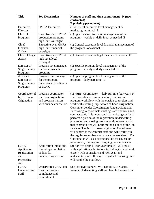| <b>Title</b>                                      | <b>Job Description</b>                                                                         | Number of staff and time commitment N (new-                                                                                                                                                                                                                                                                                                                                                                                                                                                                                                                          |  |
|---------------------------------------------------|------------------------------------------------------------------------------------------------|----------------------------------------------------------------------------------------------------------------------------------------------------------------------------------------------------------------------------------------------------------------------------------------------------------------------------------------------------------------------------------------------------------------------------------------------------------------------------------------------------------------------------------------------------------------------|--|
|                                                   |                                                                                                | contracted)                                                                                                                                                                                                                                                                                                                                                                                                                                                                                                                                                          |  |
|                                                   |                                                                                                | E (existing-permanent)                                                                                                                                                                                                                                                                                                                                                                                                                                                                                                                                               |  |
| Executive                                         | <b>HMFA</b> Executive                                                                          | $(1)$ General executive level management &                                                                                                                                                                                                                                                                                                                                                                                                                                                                                                                           |  |
| Director                                          |                                                                                                | marketing -minimal E                                                                                                                                                                                                                                                                                                                                                                                                                                                                                                                                                 |  |
| Chief of                                          | <b>Executive over HMFA</b>                                                                     | (1) Specific executive level management of the                                                                                                                                                                                                                                                                                                                                                                                                                                                                                                                       |  |
| Programs                                          | production programs<br>high level oversight                                                    | program – weekly or daily input as needed E                                                                                                                                                                                                                                                                                                                                                                                                                                                                                                                          |  |
| Chief                                             | <b>Executive over HMFA</b>                                                                     | (1) General executive level financial management of                                                                                                                                                                                                                                                                                                                                                                                                                                                                                                                  |  |
| Financial                                         | high level financial                                                                           | the program-occasional E                                                                                                                                                                                                                                                                                                                                                                                                                                                                                                                                             |  |
| Officer                                           | oversight                                                                                      |                                                                                                                                                                                                                                                                                                                                                                                                                                                                                                                                                                      |  |
| Chief of Legal                                    | <b>Executive over HMFA</b>                                                                     | $(1)$ General executive legal liaison – occasional E                                                                                                                                                                                                                                                                                                                                                                                                                                                                                                                 |  |
| <b>Affairs</b>                                    | high level legal<br>oversight                                                                  |                                                                                                                                                                                                                                                                                                                                                                                                                                                                                                                                                                      |  |
| Director of                                       | Program level manager                                                                          | (1) Specific program level management of the                                                                                                                                                                                                                                                                                                                                                                                                                                                                                                                         |  |
| <b>Single Family</b>                              | for homeownership                                                                              | program – weekly or daily as needed E                                                                                                                                                                                                                                                                                                                                                                                                                                                                                                                                |  |
| Programs                                          | programs                                                                                       |                                                                                                                                                                                                                                                                                                                                                                                                                                                                                                                                                                      |  |
| Assistant                                         | Program level manager                                                                          | (1) Specific program level management of the                                                                                                                                                                                                                                                                                                                                                                                                                                                                                                                         |  |
| Director of                                       | for the program.                                                                               | $program - daily part-time E$                                                                                                                                                                                                                                                                                                                                                                                                                                                                                                                                        |  |
| <b>Single Family</b>                              | <b>Supervises Coordinator</b>                                                                  |                                                                                                                                                                                                                                                                                                                                                                                                                                                                                                                                                                      |  |
| Programs                                          | of NJHK                                                                                        |                                                                                                                                                                                                                                                                                                                                                                                                                                                                                                                                                                      |  |
| Coordinator of<br><b>NJHK</b> Loan<br>Origination | Program coordinator<br>for loan originations<br>and program liaison<br>with outside counselors | (1) NJHK Coordinator $-$ daily fulltime four years N<br>- will coordinate communication, training and<br>program work flow with the outside counselors and<br>work with existing Supervisors of Loan Origination,<br>Consumer Lender Coordination, Underwriting and<br>Purchasing to coordinate existing staff resources and<br>contract staff. It is anticipated that existing staff will<br>perform a portion of the registration, underwriting,<br>processing and closing services as time permits and<br>that contract hires will perform the balance of the job |  |
|                                                   |                                                                                                | services. The NJHK Loan Origination Coordinator<br>will supervise the contract staff and will work with<br>the regular supervisors to balance the workload. The<br>Coordinator will also be responsible for counselor<br>recruitment, training and on-going liaison services.                                                                                                                                                                                                                                                                                        |  |
| <b>NJHK</b>                                       | Application Intake and                                                                         | (2) for two years (1) for year three N. Will assist                                                                                                                                                                                                                                                                                                                                                                                                                                                                                                                  |  |
| Application                                       | file set up/completion<br>of files for                                                         | with application submissions including QC and work                                                                                                                                                                                                                                                                                                                                                                                                                                                                                                                   |  |
| Registration<br>and                               | underwriting review                                                                            | closely with counselors and HMFA IT and<br>underwriters for follow up. Regular Processing Staff                                                                                                                                                                                                                                                                                                                                                                                                                                                                      |  |
| Processing                                        |                                                                                                | will handle the overflow.                                                                                                                                                                                                                                                                                                                                                                                                                                                                                                                                            |  |
| staff                                             |                                                                                                |                                                                                                                                                                                                                                                                                                                                                                                                                                                                                                                                                                      |  |
| <b>NJHK</b>                                       | Underwrite NJHK loan                                                                           | (2.5) for two years N. Will handle NJHK apps.                                                                                                                                                                                                                                                                                                                                                                                                                                                                                                                        |  |
| Underwriting<br>Staff                             | files for program<br>compliance and<br>commitment                                              | Regular Underwriting staff will handle the overflow.                                                                                                                                                                                                                                                                                                                                                                                                                                                                                                                 |  |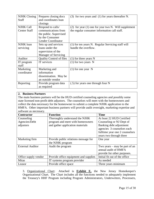| <b>NJHK Closing</b><br><b>Staff</b>     | Prepares closing docs<br>and coordinates loan<br>closings | $(3)$ for two years and $(1)$ for years thereafter N.                                                  |
|-----------------------------------------|-----------------------------------------------------------|--------------------------------------------------------------------------------------------------------|
| <b>NJHK Call</b><br><b>Center Staff</b> | Respond to calls/<br>communications from                  | (2) for year $(1)$ one for year two N. Will supplement<br>the regular consumer information call staff. |
|                                         | the public. Supervised                                    |                                                                                                        |
|                                         | by the Consumer                                           |                                                                                                        |
|                                         | Lender Coordinator                                        |                                                                                                        |
| NJHK loan                               | Sets up and services                                      | (1) for ten years N. Regular Servicing staff will                                                      |
| servicing                               | loans under the                                           | handle the overflow.                                                                                   |
|                                         | supervision of the                                        |                                                                                                        |
|                                         | Manager of Servicing                                      |                                                                                                        |
| Auditor                                 | <b>Quality Control of files</b>                           | $(1)$ for three years N                                                                                |
| IT program                              | IT services                                               | $(1)$ for two years N                                                                                  |
| staff                                   |                                                           |                                                                                                        |
| Marketing                               | Marketing and                                             | $(1)$ for one year N                                                                                   |
| coordinator                             | information                                               |                                                                                                        |
|                                         | dissemination. May be                                     |                                                                                                        |
|                                         | an outside vendor                                         |                                                                                                        |
| Reporting                               | Provide program data                                      | (.5) for years one through four N                                                                      |
|                                         | as required                                               |                                                                                                        |

# **2. Business Partners**

The main business partners will be the HUD certified counseling agencies and possibly some state licensed non-profit debt adjustors. The counselors will meet with the homeowners and collect the data necessary for the homeowner to submit a complete NJHK application to the HMFA. Other important business partners will provide audit oversight, marketing expertise and software as necessary.

| <b>Contractor</b>       | <b>Function</b>                       | <b>Time</b>                     |
|-------------------------|---------------------------------------|---------------------------------|
| Counseling              | Thoroughly understand the NJHK        | At least 22 HUD Certified       |
| Agencies/Debt           | program and meet with homeowners      | Counseling or NJ Dept of        |
| adjustors               | and gather application materials      | Banking debt adjustment         |
|                         |                                       | agencies 3 counselors each      |
|                         |                                       | fulltime year one 2 counselors  |
|                         |                                       | years two through three         |
| Marketing firm          | Provide public relations message for  | One year                        |
|                         | the NJHK program                      |                                 |
| <b>External Auditor</b> | Audit the program                     | Two years $-$ may be part of an |
|                         |                                       | annual audit of HMFA            |
|                         |                                       | provide for other purposes.     |
| Office supply vendor    | Provide office equipment and supplies | Initial fit out of the office   |
| <b>Mitas</b>            | IT systems program provider           | As needed                       |
| Leasor                  | Provide office space                  | Three years minimum             |

3. Organizational Chart: Attached is **Exhibit E,** the New Jersey Homekeeper's Organizational Chart. The Chart includes all the functions needed to adequately implement the Treasury's HHF Program including Program Administrators, Underwriters, Processers,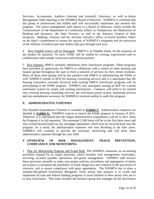Servicers, Accountants, Auditors (internal and external), Attorneys, as well as Senior Management Staff reporting to the NJHMFA Board of Directors. NJHMFA is confident that this group of professional and skilled staff will successfully implement and monitor this program. The senior management staff reports to a Board of Directors, which include the Commissioner of the Department of Community Affairs as Chairperson, the Department of Banking and Insurance, the State Treasury, as well as the Attorney General or their designees. Banking, Treasury and the Attorney General's office, as board members reflect on the State's commitment to ensure the success of NJHMFA's programs and the protection of the millions of Federal and state dollars that pass through each year.

4. How Eligible Entity will be Managed: HMFA is an Eligible Entity for the purposes of the hardest hit initiative. As such, NJHK will be staffed by existing, experienced staff in collaboration with outside contractors and external partners.

5. Key Partners: HMFA currently administers three foreclosure programs. These programs have provided an opportunity for HMFA to collaborate with a variety of other housing and finance groups throughout the state to form a network of services for New Jersey residents. Many of these same groups will be key partners with HMFA in administering the NJHK as well. NJHMFA intends to RFQ for housing counseling services and it is anticipated that the housing counselors currently involved with existing HMFA foreclosure programs will be participating in the NJHK program. NJHMFA also anticipates issuing an RFP for a portal web-based system for intake and tracking mechanisms. Contracts will need to be entered into covering housing counseling services, the web-based portal system, marketing services and any amendments necessary for NJHMFA's external auditor to audit this program.

# **E. ADMINISTRATIVE EXPENSES**

The Detailed Expenditures Timeline is included as **Exhibit F.** Administrative expenses are detailed in **Exhibit G.** NJHMFA expects to launch the NJHK program in January of 2011. Therefore, it is anticipated that the largest administrative expenditures will be in 2011 when the Program is in full operation. The estimated 2,500 loans will be in the first three years and may extend beyond based on any mortgage repayments which may be recycled back into the program. As a result, the administrative expenses will start declining in the later years. NJHMFA will continue to provide the necessary monitoring and will incur these administrative expenses through the year 2020.

# **F. OVERVIEW OF RISK MANAGEMENT, FRAUD PREVENTION, COMPLIANCE AND MONITORING**

1. Plan for Minimizing Program and Fraud Risk: The NJHMFA maintains an accounting procedure manual for its major processes, which includes cash management, receivables, servicing, accounts payable, operations, and grants management. NJHMFA staff reviews these processes annually to make sure proper policies, procedures and segregation of duties are in place to minimize the possibility of fraud, illegal acts and violation of the provisions of contracts, and to ensure compliance with grant agreements. The NJHMFA has in place a multiple-disciplined Foreclosure Mitigation Team whose sole purpose is to create and implement all state and federal funding programs to assist families in New Jersey who are in or near foreclosure. This team includes the business group that manages all the foreclosure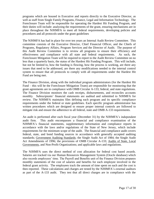programs which are housed in Executive and reports directly to the Executive Director, as well as staff from Single Family Programs, Finance, Legal and Information Technology. The Foreclosure Team will be responsible for operating the Hardest Hit Funding Program, and their duties will include: analyzing the requirements of the grant, ensuring mechanisms are in place throughout the NJHMFA to meet all federal requirements, developing policies and procedures and all protocols under the grant guidelines

The NJHMFA has had in place for over ten years an Internal Audit Review Committee. This committee consists of the Executive Director, Chief Financial Officer, and the Chiefs of Programs, Regulatory Affairs, Program Services and the Director of Audit. The purpose of this Audit Review Committee is to review all programs to ensure their efficiency and effectiveness and compliance with all state and federal requirements. As such, the Foreclosure Mitigation Team will be required to report to the Audit Review Committee on no less than a quarterly basis, the status of the Hardest Hit Funding Program. This will include, but not be limited to, how the funding is flowing, how the process is working, are there any issues that need to be addressed, are there any modifications needed to the internal control system to ensure that all protocols to comply with all requirements under the Hardest Hit Fund are being met.

The Finance Division, along with the individual program administrators (for the Hardest Hit Fund – this will be the Foreclosure Mitigation Team) are responsible for monitoring that the grant agreements are in compliance with OMB Circular A-133, federal, and state regulations. The Finance Division monitors the cash receipts, disbursements, and reconciles accounts monthly. Subrecipients' financial statements are audited and submitted to NJHMFA for review. The NJHMFA maintains files defining each program and its specific compliance requirements under the federal or state guidelines. Each specific program administrator has written procedures which are designed to ensure proper internal controls are followed to mitigate risk and ensure the adherence to all federal, state and OMB A-133 requirements.

An audit is performed after each fiscal year (December 31) by the NJHMFA's independent audit firm. This audit encompasses a financial and compliance examination of the NJHMFA's financial statements, supplementary information and compliance reports in accordance with the laws and/or regulations of the State of New Jersey, which include requirements for the minimum scope of the audit. The financial and compliance audit covers federal, state, and bond funding sources in accordance with generally accepted auditing standards; Government Auditing Standards; the Single Audit Act of 1984; the Single Audit Act Amendments of 1996; the provisions of OMB Circular A-133; Audits of State, Local Governments, and Non-Profit Organizations; and applicable laws and regulations.

The NJHMFA uses the direct method of cost allocation for federal cost based awards. Salaries are tracked via our Human Resources Management System (Oracle database) which also records employees' time. The Payroll and Benefits unit of the Finance Division prepares monthly statements of the cost of salaries and benefits for each employee involved in the federal grant activity. The employees track the amount of time spent on such and the cost is then reported. These calculations and charges are tested by the NJHMFA's external auditors as part of the A-133 audit. They test that all direct charges are in compliance with the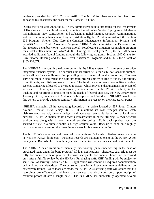guidance provided by OMB Circular A-87. The NJHMFA plans to use the direct cost allocation to substantiate the costs for the Hardest Hit Fund.

During the fiscal year 2009, the NJHMFA administered federal programs for the Department of Housing and Urban Development, including the following Section 8 programs: Moderate Rehabilitation, New Construction and Substantial Rehabilitation, Contract Administration, and the Community Investment Program. Additionally, NJHMFA administered the Section 236 Program, Shelter Plus Care, the Homeless Management Information Systems and the ARRA – Tax Credit Assistance Program. NJHMFA also administers the Department of the Treasury NeighborWorks AmericaNational Foreclosure Mitigation Counseling program for a total dollar amount of \$414,734,580. During the fiscal year 2010, the NJHMFA was awarded additional federal funding through the following programs: Section 1602 Grants for Low Income Housing and the Tax Credit Assistance Programs and NFMC for a total of \$185,316,371.

The NJHMFA's accounting software system is the Mitas system. It is an enterprise wide integrated financial system. The account number structure is four sub level account number, which allows for versatile reporting providing various levels of detailed reporting. The loan servicing module also tracks the fund-program-project-unit by source of funds, allocations, commitments, and disbursements of funds. The fund master screen operates like a budget system, comparing allocated to awarded to actual, which prevents disbursements in excess of an award. These systems are integrated, which allows the NJHMFA flexibility in the tracking and reporting of grants to meet the needs of federal agencies, the New Jersey State Treasury Office, Independent Auditors, Subrecipients and Vendors. NJHMFA would use this system to provide detail or summary information to Treasury on the Hardest Hit Funds.

NJHMFA maintains all its accounting Records at its office located at 637 South Clinton Avenue, Trenton, New Jersey 08619. It maintains its cash receipts journal, cash disbursements journal, general ledger, and accounts receivable ledger on a local area network. NJHMFA maintains its network infrastructure in-house utilizing its own network environment, along with its own network security policy. Daily back-up data tapes are secured off-site in a climate-controlled, high secured vault. Back-up is done on a nightly basis, and tapes are sent offsite three times a week for business continuity.

The NJHMFA's annual audited Financial Statements and Schedule of Federal Awards are on its website [www.nj-hmfa.com](http://www.nj-hmfa.com/) Financial records are maintained onsite at the NJHMFA for three years. Records older than three years are maintained offsite in a secured environment.

The NJHMFA has a tradition of manually underwriting (or re-underwriting in the case of purchased loans under the bond program) all loan applications. Therefore, each file must be fully documented with original or otherwise acceptable documents. Loans are purchased only after a full file review by the HMFA's Purchasing staff. HHF funding will be subject to same level of scrutiny. Each filed NJHK application will contain all required documentation or it will not be underwritten. The counseling agencies will receive written guidelines and be extensively trained. Once loans are made, the NJHMFA's Servicing staff will assure that the recordings are effectuated and loans are serviced and discharged only upon receipt of required proofs of arm's length sale. The NJHMFA has successfully operated several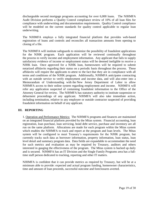dischargeable second mortgage programs accounting for over 6,000 loans. The NJHMFA Audit Division performs a Quality Control compliance review of 10% of all loan files for compliance with underwriting and documentation requirements. Quality Control compliance will be modeled on the current standards for quality control applicable to regular loan underwriting.

The NJHMFA employs a fully integrated financial platform that provides web-based registration of loans and controls and reconciles all transaction amounts from opening to closing of a file.

The NJHMFA will institute safeguards to minimize the possibility of fraudulent applications for the NJHK program. Each application will be reviewed continually throughout the process to verify income and employment information. Any applicant that fails to supply satisfactory evidence of income or employment status will be deemed ineligible to receive a NJHK loan. Once approved for a NJHK loan, homeowners will be required to submit notarized affidavits regarding their status on a periodic basis throughout the process. These affidavits will require the applicants to attest to the fact that they are in compliance with all terms and conditions of the NJHK program. Additionally, NJHMFA anticipates contracting with an outside service to verify employment and income data, and will also enter into a Memorandum of Understanding with the New Jersey Department of Labor to allow NJHMFA access to their online system regarding employment and income. NJHMFA will refer any application suspected of containing fraudulent information to the Office of the Attorney General for review. The NJHMFA has statutory authority to institute suspension or debarment proceedings of any applicant. NJHMFA will also take immediate action, including termination, relative to any employee or outside contractor suspected of providing fraudulent information on behalf of any applicant.

# **III. REPORTING**

1. Operation and Performance Metrics: The NJHMFA programs and finances are maintained on an integrated financial platform provided by the Mitas system. Financial accounting, loan registration, loan purchase, loan servicing, bond debt service, purchase and inventory are all run on the same platform. Allocations are made for each program within the Mitas system which enables the NJHMFA to track and report at the program and loan levels. The Mitas system will be configured to meet Treasury's requirements for the NJHK program, but currently tracks such data as borrower information, property information, loan status, loan level detail and summary program data. Data fields are expandable to accommodate the need for such metrics and evaluation as may be required by Treasury, auditors and others interested in gauging the effectiveness of the program. The Mitas system is backed up daily and is secured. NJHMFA has an IT Division and the Single Family Programs area has a fulltime staff person dedicated to tracking, reporting and other IT matters.

NJHMFA is confident that it can provide metrics as required by Treasury, but will be at a minimum able to provide: expected and actual program funding, homeowner characteristics, time and amount of loan proceeds, successful outcome and foreclosures averted.